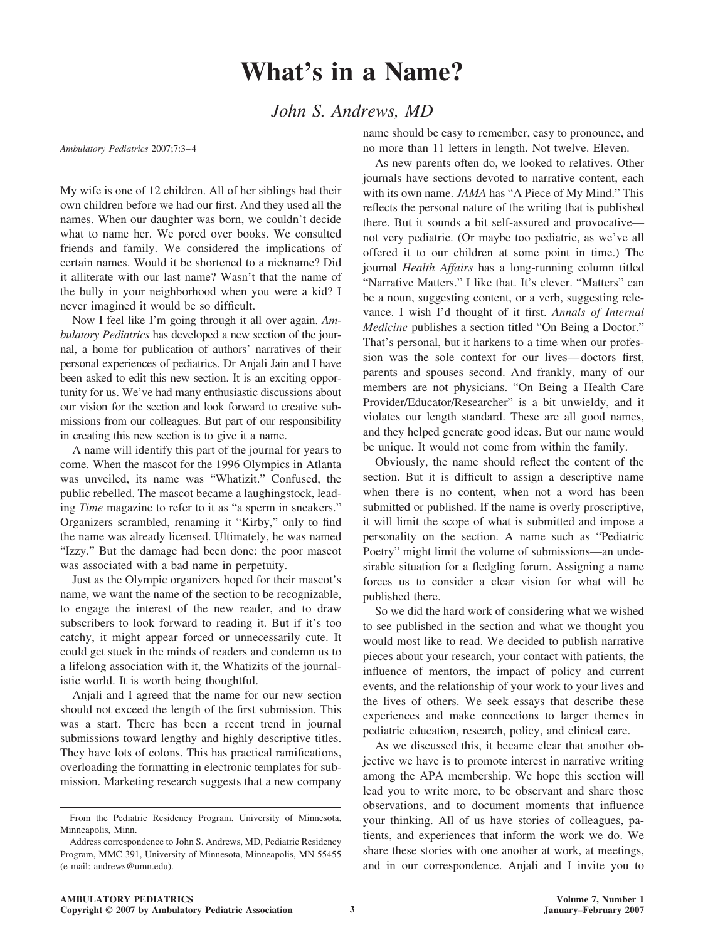*John S. Andrews, MD*

*Ambulatory Pediatrics* 2007;7:3–4

My wife is one of 12 children. All of her siblings had their own children before we had our first. And they used all the names. When our daughter was born, we couldn't decide what to name her. We pored over books. We consulted friends and family. We considered the implications of certain names. Would it be shortened to a nickname? Did it alliterate with our last name? Wasn't that the name of the bully in your neighborhood when you were a kid? I never imagined it would be so difficult.

Now I feel like I'm going through it all over again. *Ambulatory Pediatrics* has developed a new section of the journal, a home for publication of authors' narratives of their personal experiences of pediatrics. Dr Anjali Jain and I have been asked to edit this new section. It is an exciting opportunity for us. We've had many enthusiastic discussions about our vision for the section and look forward to creative submissions from our colleagues. But part of our responsibility in creating this new section is to give it a name.

A name will identify this part of the journal for years to come. When the mascot for the 1996 Olympics in Atlanta was unveiled, its name was "Whatizit." Confused, the public rebelled. The mascot became a laughingstock, leading *Time* magazine to refer to it as "a sperm in sneakers." Organizers scrambled, renaming it "Kirby," only to find the name was already licensed. Ultimately, he was named "Izzy." But the damage had been done: the poor mascot was associated with a bad name in perpetuity.

Just as the Olympic organizers hoped for their mascot's name, we want the name of the section to be recognizable, to engage the interest of the new reader, and to draw subscribers to look forward to reading it. But if it's too catchy, it might appear forced or unnecessarily cute. It could get stuck in the minds of readers and condemn us to a lifelong association with it, the Whatizits of the journalistic world. It is worth being thoughtful.

Anjali and I agreed that the name for our new section should not exceed the length of the first submission. This was a start. There has been a recent trend in journal submissions toward lengthy and highly descriptive titles. They have lots of colons. This has practical ramifications, overloading the formatting in electronic templates for submission. Marketing research suggests that a new company

name should be easy to remember, easy to pronounce, and no more than 11 letters in length. Not twelve. Eleven.

As new parents often do, we looked to relatives. Other journals have sections devoted to narrative content, each with its own name. *JAMA* has "A Piece of My Mind." This reflects the personal nature of the writing that is published there. But it sounds a bit self-assured and provocative not very pediatric. (Or maybe too pediatric, as we've all offered it to our children at some point in time.) The journal *Health Affairs* has a long-running column titled "Narrative Matters." I like that. It's clever. "Matters" can be a noun, suggesting content, or a verb, suggesting relevance. I wish I'd thought of it first. *Annals of Internal Medicine* publishes a section titled "On Being a Doctor." That's personal, but it harkens to a time when our profession was the sole context for our lives—doctors first, parents and spouses second. And frankly, many of our members are not physicians. "On Being a Health Care Provider/Educator/Researcher" is a bit unwieldy, and it violates our length standard. These are all good names, and they helped generate good ideas. But our name would be unique. It would not come from within the family.

Obviously, the name should reflect the content of the section. But it is difficult to assign a descriptive name when there is no content, when not a word has been submitted or published. If the name is overly proscriptive, it will limit the scope of what is submitted and impose a personality on the section. A name such as "Pediatric Poetry" might limit the volume of submissions—an undesirable situation for a fledgling forum. Assigning a name forces us to consider a clear vision for what will be published there.

So we did the hard work of considering what we wished to see published in the section and what we thought you would most like to read. We decided to publish narrative pieces about your research, your contact with patients, the influence of mentors, the impact of policy and current events, and the relationship of your work to your lives and the lives of others. We seek essays that describe these experiences and make connections to larger themes in pediatric education, research, policy, and clinical care.

As we discussed this, it became clear that another objective we have is to promote interest in narrative writing among the APA membership. We hope this section will lead you to write more, to be observant and share those observations, and to document moments that influence your thinking. All of us have stories of colleagues, patients, and experiences that inform the work we do. We share these stories with one another at work, at meetings, and in our correspondence. Anjali and I invite you to

From the Pediatric Residency Program, University of Minnesota, Minneapolis, Minn.

Address correspondence to John S. Andrews, MD, Pediatric Residency Program, MMC 391, University of Minnesota, Minneapolis, MN 55455 (e-mail: andrews@umn.edu).